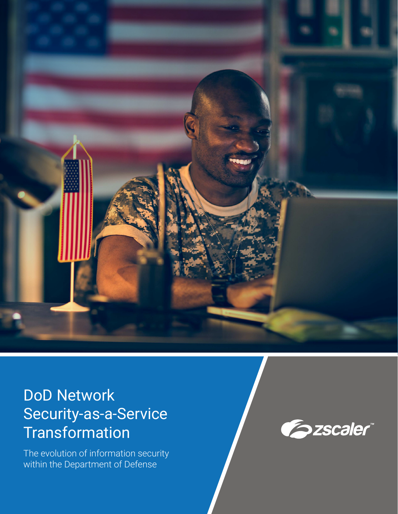

# DoD Network Security-as-a-Service **Transformation**

The evolution of information security within the Department of Defense

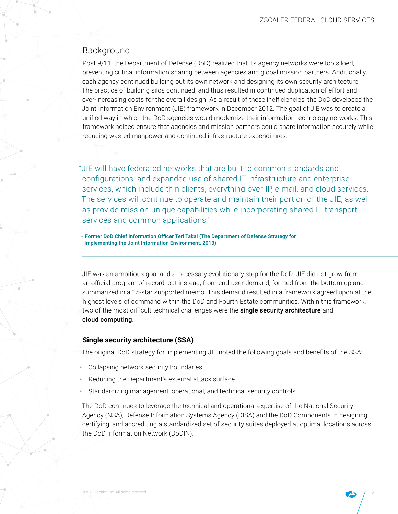# Background

Post 9/11, the Department of Defense (DoD) realized that its agency networks were too siloed, preventing critical information sharing between agencies and global mission partners. Additionally, each agency continued building out its own network and designing its own security architecture. The practice of building silos continued, and thus resulted in continued duplication of effort and ever-increasing costs for the overall design. As a result of these inefficiencies, the DoD developed the Joint Information Environment (JIE) framework in December 2012. The goal of JIE was to create a unified way in which the DoD agencies would modernize their information technology networks. This framework helped ensure that agencies and mission partners could share information securely while reducing wasted manpower and continued infrastructure expenditures.

"JIE will have federated networks that are built to common standards and configurations, and expanded use of shared IT infrastructure and enterprise services, which include thin clients, everything-over-IP, e-mail, and cloud services. The services will continue to operate and maintain their portion of the JIE, as well as provide mission-unique capabilities while incorporating shared IT transport services and common applications."

– Former DoD Chief Information Officer Teri Takai (The Department of Defense Strategy for Implementing the Joint Information Environment, 2013)

JIE was an ambitious goal and a necessary evolutionary step for the DoD. JIE did not grow from an official program of record, but instead, from end-user demand, formed from the bottom up and summarized in a 15-star supported memo. This demand resulted in a framework agreed upon at the highest levels of command within the DoD and Fourth Estate communities. Within this framework, two of the most difficult technical challenges were the single security architecture and cloud computing.

## **Single security architecture (SSA)**

The original DoD strategy for implementing JIE noted the following goals and benefits of the SSA:

- Collapsing network security boundaries.
- Reducing the Department's external attack surface.
- Standardizing management, operational, and technical security controls.

The DoD continues to leverage the technical and operational expertise of the National Security Agency (NSA), Defense Information Systems Agency (DISA) and the DoD Components in designing, certifying, and accrediting a standardized set of security suites deployed at optimal locations across the DoD Information Network (DoDIN).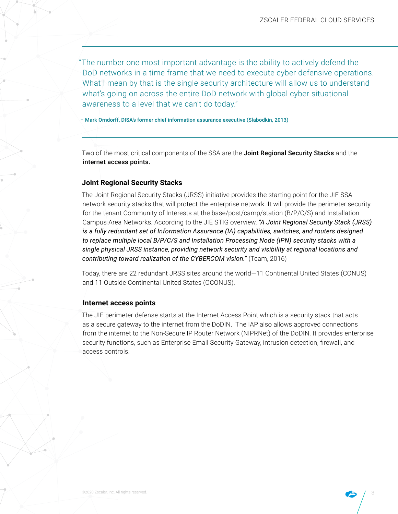"The number one most important advantage is the ability to actively defend the DoD networks in a time frame that we need to execute cyber defensive operations. What I mean by that is the single security architecture will allow us to understand what's going on across the entire DoD network with global cyber situational awareness to a level that we can't do today."

– Mark Orndorff, DISA's former chief information assurance executive (Slabodkin, 2013)

Two of the most critical components of the SSA are the Joint Regional Security Stacks and the internet access points.

### **Joint Regional Security Stacks**

The Joint Regional Security Stacks (JRSS) initiative provides the starting point for the JIE SSA network security stacks that will protect the enterprise network. It will provide the perimeter security for the tenant Community of Interests at the base/post/camp/station (B/P/C/S) and Installation Campus Area Networks. According to the JIE STIG overview, *"A Joint Regional Security Stack (JRSS) is a fully redundant set of Information Assurance (IA) capabilities, switches, and routers designed to replace multiple local B/P/C/S and Installation Processing Node (IPN) security stacks with a single physical JRSS instance, providing network security and visibility at regional locations and contributing toward realization of the CYBERCOM vision."* (Team, 2016)

Today, there are 22 redundant JRSS sites around the world—11 Continental United States (CONUS) and 11 Outside Continental United States (OCONUS).

### **Internet access points**

The JIE perimeter defense starts at the Internet Access Point which is a security stack that acts as a secure gateway to the internet from the DoDIN. The IAP also allows approved connections from the internet to the Non-Secure IP Router Network (NIPRNet) of the DoDIN. It provides enterprise security functions, such as Enterprise Email Security Gateway, intrusion detection, firewall, and access controls.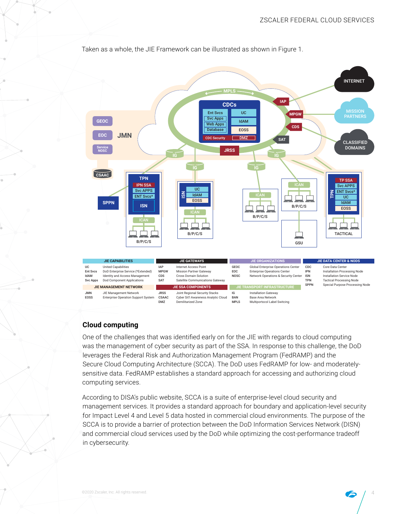

Taken as a whole, the JIE Framework can be illustrated as shown in Figure 1.

## **Cloud computing**

One of the challenges that was identified early on for the JIE with regards to cloud computing was the management of cyber security as part of the SSA. In response to this challenge, the DoD leverages the Federal Risk and Authorization Management Program (FedRAMP) and the Secure Cloud Computing Architecture (SCCA). The DoD uses FedRAMP for low- and moderatelysensitive data. FedRAMP establishes a standard approach for accessing and authorizing cloud computing services.

According to DISA's public website, SCCA is a suite of enterprise-level cloud security and management services. It provides a standard approach for boundary and application-level security for Impact Level 4 and Level 5 data hosted in commercial cloud environments. The purpose of the SCCA is to provide a barrier of protection between the DoD Information Services Network (DISN) and commercial cloud services used by the DoD while optimizing the cost-performance tradeoff in cybersecurity.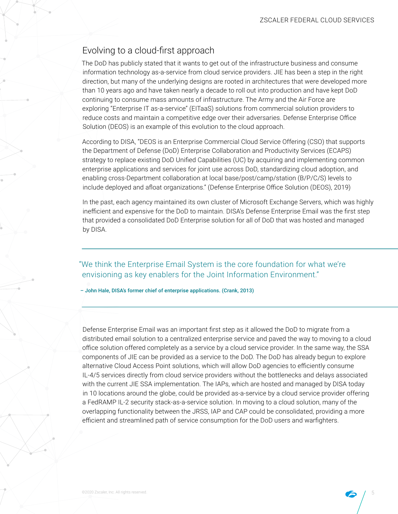# Evolving to a cloud-first approach

The DoD has publicly stated that it wants to get out of the infrastructure business and consume information technology as-a-service from cloud service providers. JIE has been a step in the right direction, but many of the underlying designs are rooted in architectures that were developed more than 10 years ago and have taken nearly a decade to roll out into production and have kept DoD continuing to consume mass amounts of infrastructure. The Army and the Air Force are exploring "Enterprise IT as-a-service" (EITaaS) solutions from commercial solution providers to reduce costs and maintain a competitive edge over their adversaries. Defense Enterprise Office Solution (DEOS) is an example of this evolution to the cloud approach.

According to DISA, "DEOS is an Enterprise Commercial Cloud Service Offering (CSO) that supports the Department of Defense (DoD) Enterprise Collaboration and Productivity Services (ECAPS) strategy to replace existing DoD Unified Capabilities (UC) by acquiring and implementing common enterprise applications and services for joint use across DoD, standardizing cloud adoption, and enabling cross-Department collaboration at local base/post/camp/station (B/P/C/S) levels to include deployed and afloat organizations." (Defense Enterprise Office Solution (DEOS), 2019)

In the past, each agency maintained its own cluster of Microsoft Exchange Servers, which was highly inefficient and expensive for the DoD to maintain. DISA's Defense Enterprise Email was the first step that provided a consolidated DoD Enterprise solution for all of DoD that was hosted and managed by DISA.

"We think the Enterprise Email System is the core foundation for what we're envisioning as key enablers for the Joint Information Environment."

– John Hale, DISA's former chief of enterprise applications. (Crank, 2013)

Defense Enterprise Email was an important first step as it allowed the DoD to migrate from a distributed email solution to a centralized enterprise service and paved the way to moving to a cloud office solution offered completely as a service by a cloud service provider. In the same way, the SSA components of JIE can be provided as a service to the DoD. The DoD has already begun to explore alternative Cloud Access Point solutions, which will allow DoD agencies to efficiently consume IL-4/5 services directly from cloud service providers without the bottlenecks and delays associated with the current JIE SSA implementation. The IAPs, which are hosted and managed by DISA today in 10 locations around the globe, could be provided as-a-service by a cloud service provider offering a FedRAMP IL-2 security stack-as-a-service solution. In moving to a cloud solution, many of the overlapping functionality between the JRSS, IAP and CAP could be consolidated, providing a more efficient and streamlined path of service consumption for the DoD users and warfighters.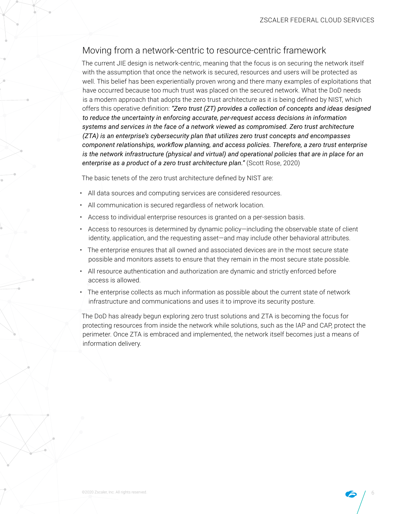# Moving from a network-centric to resource-centric framework

The current JIE design is network-centric, meaning that the focus is on securing the network itself with the assumption that once the network is secured, resources and users will be protected as well. This belief has been experientially proven wrong and there many examples of exploitations that have occurred because too much trust was placed on the secured network. What the DoD needs is a modern approach that adopts the zero trust architecture as it is being defined by NIST, which offers this operative definition: *"Zero trust (ZT) provides a collection of concepts and ideas designed to reduce the uncertainty in enforcing accurate, per-request access decisions in information systems and services in the face of a network viewed as compromised. Zero trust architecture (ZTA) is an enterprise's cybersecurity plan that utilizes zero trust concepts and encompasses component relationships, workflow planning, and access policies. Therefore, a zero trust enterprise is the network infrastructure (physical and virtual) and operational policies that are in place for an enterprise as a product of a zero trust architecture plan."* (Scott Rose, 2020)

The basic tenets of the zero trust architecture defined by NIST are:

- All data sources and computing services are considered resources.
- All communication is secured regardless of network location.
- Access to individual enterprise resources is granted on a per-session basis.
- Access to resources is determined by dynamic policy—including the observable state of client identity, application, and the requesting asset—and may include other behavioral attributes.
- The enterprise ensures that all owned and associated devices are in the most secure state possible and monitors assets to ensure that they remain in the most secure state possible.
- All resource authentication and authorization are dynamic and strictly enforced before access is allowed.
- $\cdot$  The enterprise collects as much information as possible about the current state of network infrastructure and communications and uses it to improve its security posture.

The DoD has already begun exploring zero trust solutions and ZTA is becoming the focus for protecting resources from inside the network while solutions, such as the IAP and CAP, protect the perimeter. Once ZTA is embraced and implemented, the network itself becomes just a means of information delivery.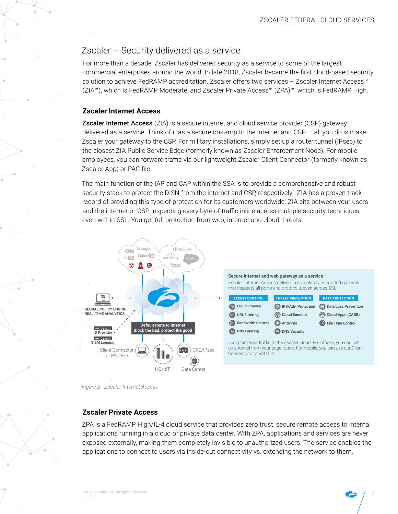## Zscaler – Security delivered as a service

For more than a decade, Zscaler has delivered security as a service to some of the largest commercial enterprises around the world. In late 2018, Zscaler became the first cloud-based security solution to achieve FedRAMP accreditation. Zscaler offers two services - Zscaler Internet Access™ (ZIA™), which is FedRAMP Moderate, and Zscaler Private Access™ (ZPA)™, which is FedRAMP High.

## **Zscaler Internet Access**

**Zscaler Internet Access** (ZIA) is a secure internet and cloud service provider (CSP) gateway delivered as a service. Think of it as a secure on-ramp to the internet and CSP  $-$  all you do is make Zscaler your gateway to the CSP. For military installations, simply set up a router tunnel (IPsec) to the closest ZIA Public Service Edge (formerly known as Zscaler Enforcement Node). For mobile employees, you can forward traffic via our lightweight Zscaler Client Connector (formerly known as Zscaler App) or PAC file.

The main function of the IAP and CAP within the SSA is to provide a comprehensive and robust security stack to protect the DISN from the internet and CSP, respectively. ZIA has a proven track record of providing this type of protection for its customers worldwide. ZIA sits between your users and the internet or CSP, inspecting every byte of traffic inline across multiple security techniques, even within SSL. You get full protection from web, internet and cloud threats.



*Figure 2 - Zscaler Internet Access*

## **Zscaler Private Access**

ZPA is a FedRAMP High/IL-4 cloud service that provides zero trust, secure remote access to internal applications running in a cloud or private data center. With ZPA, applications and services are never exposed externally, making them completely invisible to unauthorized users. The service enables the applications to connect to users via inside-out connectivity vs. extending the network to them.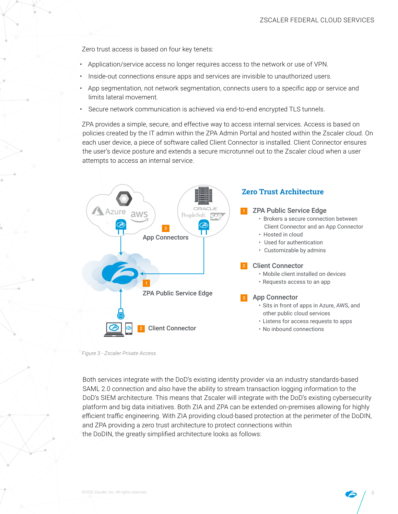Zero trust access is based on four key tenets:

- Application/service access no longer requires access to the network or use of VPN.
- Inside-out connections ensure apps and services are invisible to unauthorized users.
- App segmentation, not network segmentation, connects users to a specific app or service and limits lateral movement.
- Secure network communication is achieved via end-to-end encrypted TLS tunnels.

ZPA provides a simple, secure, and effective way to access internal services. Access is based on policies created by the IT admin within the ZPA Admin Portal and hosted within the Zscaler cloud. On each user device, a piece of software called Client Connector is installed. Client Connector ensures the user's device posture and extends a secure microtunnel out to the Zscaler cloud when a user attempts to access an internal service.



*Figure 3 - Zscaler Private Access*

Both services integrate with the DoD's existing identity provider via an industry standards-based SAML 2.0 connection and also have the ability to stream transaction logging information to the DoD's SIEM architecture. This means that Zscaler will integrate with the DoD's existing cybersecurity platform and big data initiatives. Both ZIA and ZPA can be extended on-premises allowing for highly efficient traffic engineering. With ZIA providing cloud-based protection at the perimeter of the DoDIN, and ZPA providing a zero trust architecture to protect connections within the DoDIN, the greatly simplified architecture looks as follows: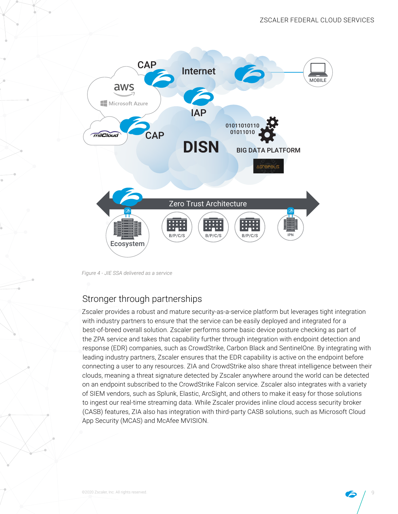

*Figure 4 - JIE SSA delivered as a service*

# Stronger through partnerships

Zscaler provides a robust and mature security-as-a-service platform but leverages tight integration with industry partners to ensure that the service can be easily deployed and integrated for a best-of-breed overall solution. Zscaler performs some basic device posture checking as part of the ZPA service and takes that capability further through integration with endpoint detection and response (EDR) companies, such as CrowdStrike, Carbon Black and SentinelOne. By integrating with leading industry partners, Zscaler ensures that the EDR capability is active on the endpoint before connecting a user to any resources. ZIA and CrowdStrike also share threat intelligence between their clouds, meaning a threat signature detected by Zscaler anywhere around the world can be detected on an endpoint subscribed to the CrowdStrike Falcon service. Zscaler also integrates with a variety of SIEM vendors, such as Splunk, Elastic, ArcSight, and others to make it easy for those solutions to ingest our real-time streaming data. While Zscaler provides inline cloud access security broker (CASB) features, ZIA also has integration with third-party CASB solutions, such as Microsoft Cloud App Security (MCAS) and McAfee MVISION.